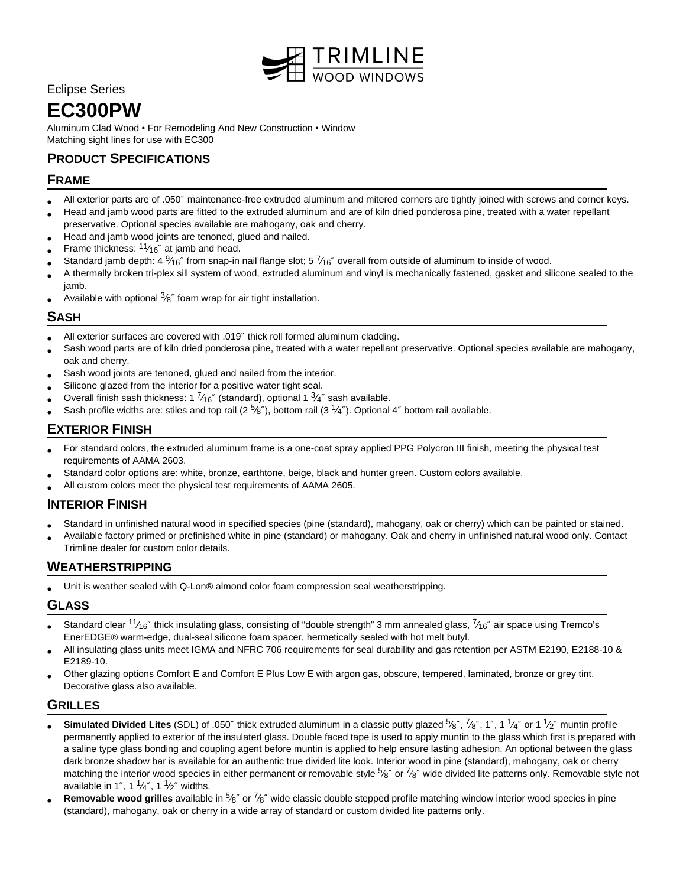

## Eclipse Series

# **EC300PW**

Aluminum Clad Wood • For Remodeling And New Construction • Window Matching sight lines for use with EC300

# **PRODUCT SPECIFICATIONS**

### **FRAME**

- All exterior parts are of .050″ maintenance-free extruded aluminum and mitered corners are tightly joined with screws and corner keys.
- Head and jamb wood parts are fitted to the extruded aluminum and are of kiln dried ponderosa pine, treated with a water repellant preservative. Optional species available are mahogany, oak and cherry.
- Head and jamb wood joints are tenoned, glued and nailed.
- • Frame thickness:  $11/16''$  at jamb and head.
- Standard jamb depth: 4  $\frac{9}{16}$ " from snap-in nail flange slot; 5  $\frac{7}{16}$ " overall from outside of aluminum to inside of wood.
- A thermally broken tri-plex sill system of wood, extruded aluminum and vinyl is mechanically fastened, gasket and silicone sealed to the jamb.
- Available with optional  $3/8$ " foam wrap for air tight installation.

### **SASH**

- All exterior surfaces are covered with .019″ thick roll formed aluminum cladding.
- Sash wood parts are of kiln dried ponderosa pine, treated with a water repellant preservative. Optional species available are mahogany, oak and cherry.
- Sash wood joints are tenoned, glued and nailed from the interior.
- Silicone glazed from the interior for a positive water tight seal.
- Overall finish sash thickness: 1  $\frac{7}{16}$ " (standard), optional 1  $\frac{3}{4}$ " sash available.
- Sash profile widths are: stiles and top rail (2  $\frac{5}{8}$ "), bottom rail (3  $\frac{1}{4}$ "). Optional 4" bottom rail available.

## **EXTERIOR FINISH**

- For standard colors, the extruded aluminum frame is a one-coat spray applied PPG Polycron III finish, meeting the physical test requirements of AAMA 2603.
- Standard color options are: white, bronze, earthtone, beige, black and hunter green. Custom colors available.
- All custom colors meet the physical test requirements of AAMA 2605.

# **INTERIOR FINISH**

- Standard in unfinished natural wood in specified species (pine (standard), mahogany, oak or cherry) which can be painted or stained.
- Available factory primed or prefinished white in pine (standard) or mahogany. Oak and cherry in unfinished natural wood only. Contact Trimline dealer for custom color details.

# **WEATHERSTRIPPING**

• Unit is weather sealed with Q-Lon® almond color foam compression seal weatherstripping.

### **GLASS**

- Standard clear  $11/16''$  thick insulating glass, consisting of "double strength" 3 mm annealed glass,  $7/16''$  air space using Tremco's EnerEDGE® warm-edge, dual-seal silicone foam spacer, hermetically sealed with hot melt butyl.
- All insulating glass units meet IGMA and NFRC 706 requirements for seal durability and gas retention per ASTM E2190, E2188-10 & E2189-10.
- Other glazing options Comfort E and Comfort E Plus Low E with argon gas, obscure, tempered, laminated, bronze or grey tint. Decorative glass also available.

### **GRILLES**

- **Simulated Divided Lites** (SDL) of .050" thick extruded aluminum in a classic putty glazed 5<sup>2</sup>%", 7%", 1", 1 1<sup>1</sup>/4" or 1 <sup>1</sup>/2" muntin profile permanently applied to exterior of the insulated glass. Double faced tape is used to apply muntin to the glass which first is prepared with a saline type glass bonding and coupling agent before muntin is applied to help ensure lasting adhesion. An optional between the glass dark bronze shadow bar is available for an authentic true divided lite look. Interior wood in pine (standard), mahogany, oak or cherry matching the interior wood species in either permanent or removable style  $5/8''$  or  $7/8''$  wide divided lite patterns only. Removable style not available in 1", 1  $\frac{1}{4}$ ", 1  $\frac{1}{2}$ " widths.
- **Removable wood grilles** available in 5<sup>6</sup> or <sup>7</sup>/8" wide classic double stepped profile matching window interior wood species in pine (standard), mahogany, oak or cherry in a wide array of standard or custom divided lite patterns only.